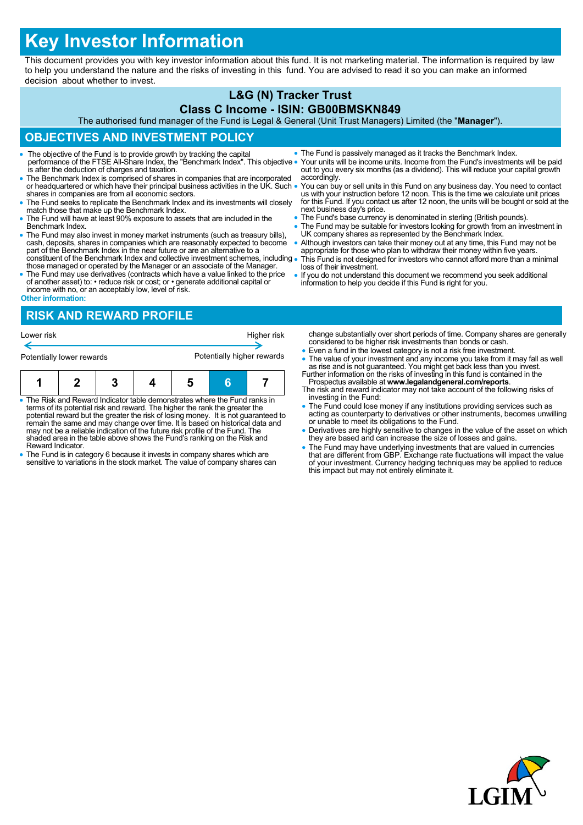# **Key Investor Information**

This document provides you with key investor information about this fund. It is not marketing material. The information is required by law to help you understand the nature and the risks of investing in this fund. You are advised to read it so you can make an informed decision about whether to invest.

#### **L&G (N) Tracker Trust Class C Income - ISIN: GB00BMSKN849**

The authorised fund manager of the Fund is Legal & General (Unit Trust Managers) Limited (the "**Manager**").

## **OBJECTIVES AND INVESTMENT POLICY**

- The objective of the Fund is to provide growth by tracking the capital performance of the FTSE All-Share Index, the "Benchmark Index". This objective is after the deduction of charges and taxation.
- The Benchmark Index is comprised of shares in companies that are incorporated or headquartered or which have their principal business activities in the UK. Such . shares in companies are from all economic sectors.
- The Fund seeks to replicate the Benchmark Index and its investments will closely match those that make up the Benchmark Index.
- The Fund will have at least 90% exposure to assets that are included in the Benchmark Index.
- The Fund may also invest in money market instruments (such as treasury bills), cash, deposits, shares in companies which are reasonably expected to become part of the Benchmark Index in the near future or are an alternat constituent of the Benchmark Index and collective investment schemes, including
- those managed or operated by the Manager or an associate of the Manager. The Fund may use derivatives (contracts which have a value linked to the price
- of another asset) to: reduce risk or cost; or generate additional capital or income with no, or an acceptably low, level of risk. **Other information:**

### **RISK AND REWARD PROFILE**

| Lower risk                |  |  |  | Higher risk                |  |  |  |  |
|---------------------------|--|--|--|----------------------------|--|--|--|--|
| Potentially lower rewards |  |  |  | Potentially higher rewards |  |  |  |  |
|                           |  |  |  |                            |  |  |  |  |

| The Risk and Reward Indicator table demonstrates where the Fund ranks in |  |  |  |  |  |  |  |
|--------------------------------------------------------------------------|--|--|--|--|--|--|--|

- The Risk and Reward Indicator table demonstrates where the Fund ranks in<br>terms of its potential risk and reward. The higher the rank the greater the<br>potential reward but the greater the risk of losing money. It is not gu may not be a reliable indication of the future risk profile of the Fund. The shaded area in the table above shows the Fund's ranking on the Risk and Reward Indicator.
- The Fund is in category 6 because it invests in company shares which are sensitive to variations in the stock market. The value of company shares can
- The Fund is passively managed as it tracks the Benchmark Index.
- Your units will be income units. Income from the Fund's investments will be paid out to you every six months (as a dividend). This will reduce your capital growth accordingly.
- You can buy or sell units in this Fund on any business day. You need to contact us with your instruction before 12 noon. This is the time we calculate unit prices for this Fund. If you contact us after 12 noon, the units will be bought or sold at the next business day's price.
- The Fund's base currency is denominated in sterling (British pounds).
- The Fund may be suitable for investors looking for growth from an investment in UK company shares as represented by the Benchmark Index.
- Although investors can take their money out at any time, this Fund may not be appropriate for those who plan to withdraw their money within five years. This Fund is not designed for investors who cannot afford more than a minimal
- loss of their investment.
- If you do not understand this document we recommend you seek additional information to help you decide if this Fund is right for you.

change substantially over short periods of time. Company shares are generally considered to be higher risk investments than bonds or cash.

- Even a fund in the lowest category is not a risk free investment.
- The value of your investment and any income you take from it may fall as well as rise and is not guaranteed. You might get back less than you invest. Further information on the risks of investing in this fund is containe
- Prospectus available at **www.legalandgeneral.com/reports**. The risk and reward indicator may not take account of the following risks of
- investing in the Fund: The Fund could lose money if any institutions providing services such as acting as counterparty to derivatives or other instruments, becomes unwilling or unable to meet its obligations to the Fund.
- Derivatives are highly sensitive to changes in the value of the asset on which they are based and can increase the size of losses and gains.
- The Fund may have underlying investments that are valued in currencies<br>that are different from GBP. Exchange rate fluctuations will impact the value<br>of your investment. Currency hedging techniques may be applied to reduc